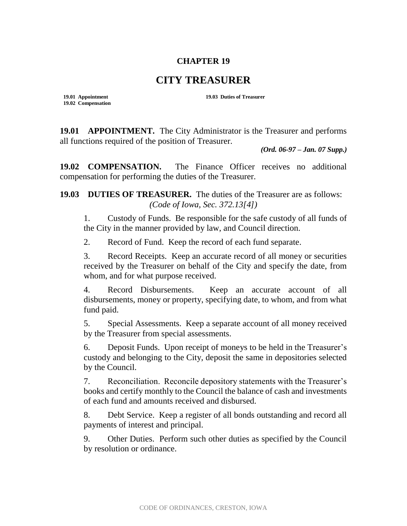## **CHAPTER 19**

## **CITY TREASURER**

**19.02 Compensation**

**19.01 Appointment 19.03 Duties of Treasurer**

**19.01 APPOINTMENT.** The City Administrator is the Treasurer and performs all functions required of the position of Treasurer.

*(Ord. 06-97 – Jan. 07 Supp.)*

**19.02 COMPENSATION.** The Finance Officer receives no additional compensation for performing the duties of the Treasurer.

**19.03 DUTIES OF TREASURER.** The duties of the Treasurer are as follows: *(Code of Iowa, Sec. 372.13[4])*

1. Custody of Funds. Be responsible for the safe custody of all funds of the City in the manner provided by law, and Council direction.

2. Record of Fund. Keep the record of each fund separate.

3. Record Receipts. Keep an accurate record of all money or securities received by the Treasurer on behalf of the City and specify the date, from whom, and for what purpose received.

4. Record Disbursements. Keep an accurate account of all disbursements, money or property, specifying date, to whom, and from what fund paid.

5. Special Assessments. Keep a separate account of all money received by the Treasurer from special assessments.

6. Deposit Funds. Upon receipt of moneys to be held in the Treasurer's custody and belonging to the City, deposit the same in depositories selected by the Council.

7. Reconciliation. Reconcile depository statements with the Treasurer's books and certify monthly to the Council the balance of cash and investments of each fund and amounts received and disbursed.

8. Debt Service. Keep a register of all bonds outstanding and record all payments of interest and principal.

9. Other Duties. Perform such other duties as specified by the Council by resolution or ordinance.